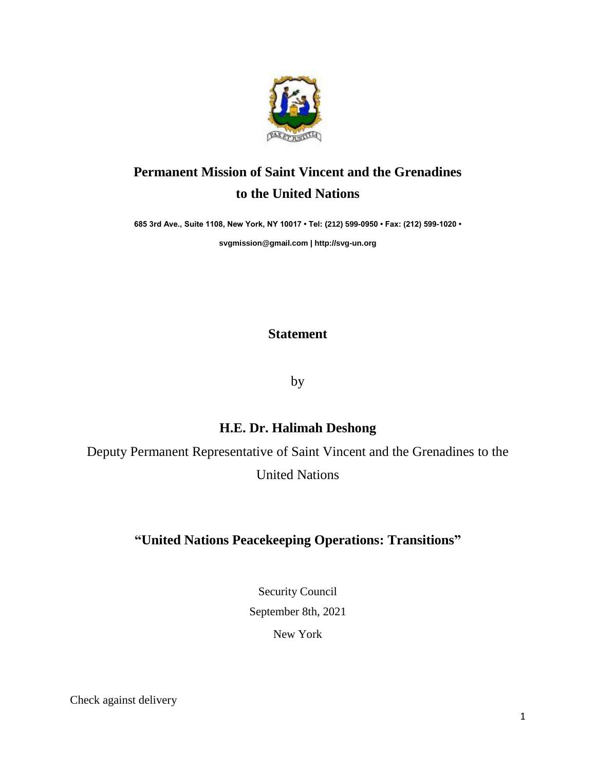

## **Permanent Mission of Saint Vincent and the Grenadines to the United Nations**

**685 3rd Ave., Suite 1108, New York, NY 10017 • Tel: (212) 599-0950 • Fax: (212) 599-1020 •** 

**[svgmission@gmail.com](mailto:svgmission@gmail.com) [| http://svg-un.org](http://svg-un.org/)**

## **Statement**

by

## **H.E. Dr. Halimah Deshong**

Deputy Permanent Representative of Saint Vincent and the Grenadines to the United Nations

## **"United Nations Peacekeeping Operations: Transitions"**

Security Council September 8th, 2021 New York

Check against delivery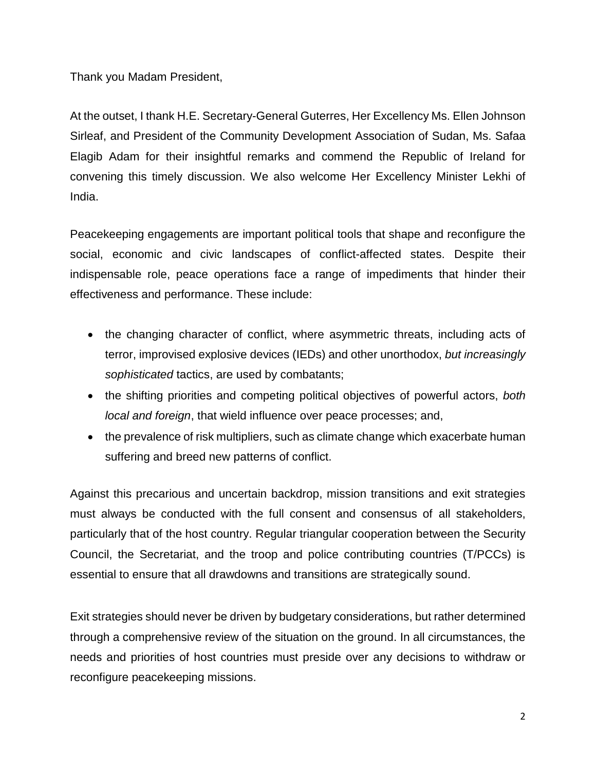Thank you Madam President,

At the outset, I thank H.E. Secretary-General Guterres, Her Excellency Ms. Ellen Johnson Sirleaf, and President of the Community Development Association of Sudan, Ms. Safaa Elagib Adam for their insightful remarks and commend the Republic of Ireland for convening this timely discussion. We also welcome Her Excellency Minister Lekhi of India.

Peacekeeping engagements are important political tools that shape and reconfigure the social, economic and civic landscapes of conflict-affected states. Despite their indispensable role, peace operations face a range of impediments that hinder their effectiveness and performance. These include:

- the changing character of conflict, where asymmetric threats, including acts of terror, improvised explosive devices (IEDs) and other unorthodox, *but increasingly sophisticated* tactics, are used by combatants;
- the shifting priorities and competing political objectives of powerful actors, *both local and foreign*, that wield influence over peace processes; and,
- the prevalence of risk multipliers, such as climate change which exacerbate human suffering and breed new patterns of conflict.

Against this precarious and uncertain backdrop, mission transitions and exit strategies must always be conducted with the full consent and consensus of all stakeholders, particularly that of the host country. Regular triangular cooperation between the Security Council, the Secretariat, and the troop and police contributing countries (T/PCCs) is essential to ensure that all drawdowns and transitions are strategically sound.

Exit strategies should never be driven by budgetary considerations, but rather determined through a comprehensive review of the situation on the ground. In all circumstances, the needs and priorities of host countries must preside over any decisions to withdraw or reconfigure peacekeeping missions.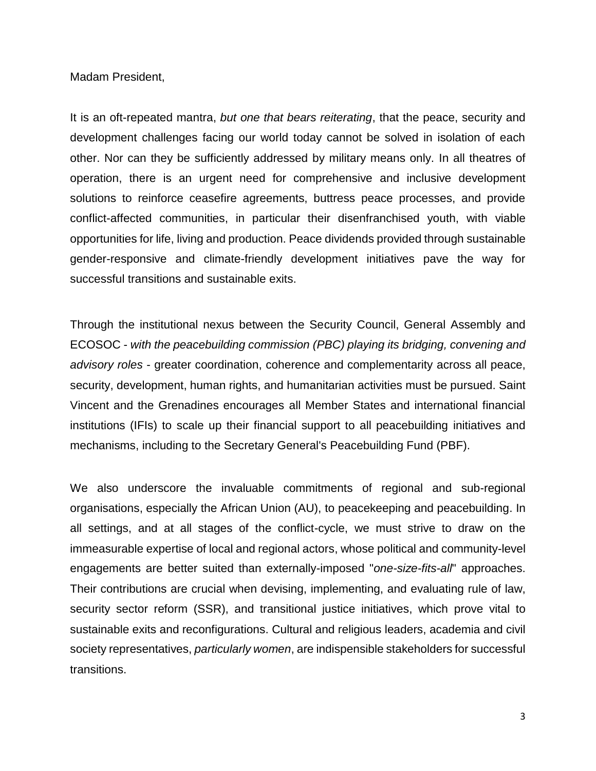Madam President,

It is an oft-repeated mantra, *but one that bears reiterating*, that the peace, security and development challenges facing our world today cannot be solved in isolation of each other. Nor can they be sufficiently addressed by military means only. In all theatres of operation, there is an urgent need for comprehensive and inclusive development solutions to reinforce ceasefire agreements, buttress peace processes, and provide conflict-affected communities, in particular their disenfranchised youth, with viable opportunities for life, living and production. Peace dividends provided through sustainable gender-responsive and climate-friendly development initiatives pave the way for successful transitions and sustainable exits.

Through the institutional nexus between the Security Council, General Assembly and ECOSOC - *with the peacebuilding commission (PBC) playing its bridging, convening and advisory roles* - greater coordination, coherence and complementarity across all peace, security, development, human rights, and humanitarian activities must be pursued. Saint Vincent and the Grenadines encourages all Member States and international financial institutions (IFIs) to scale up their financial support to all peacebuilding initiatives and mechanisms, including to the Secretary General's Peacebuilding Fund (PBF).

We also underscore the invaluable commitments of regional and sub-regional organisations, especially the African Union (AU), to peacekeeping and peacebuilding. In all settings, and at all stages of the conflict-cycle, we must strive to draw on the immeasurable expertise of local and regional actors, whose political and community-level engagements are better suited than externally-imposed "*one-size-fits-all*" approaches. Their contributions are crucial when devising, implementing, and evaluating rule of law, security sector reform (SSR), and transitional justice initiatives, which prove vital to sustainable exits and reconfigurations. Cultural and religious leaders, academia and civil society representatives, *particularly women*, are indispensible stakeholders for successful transitions.